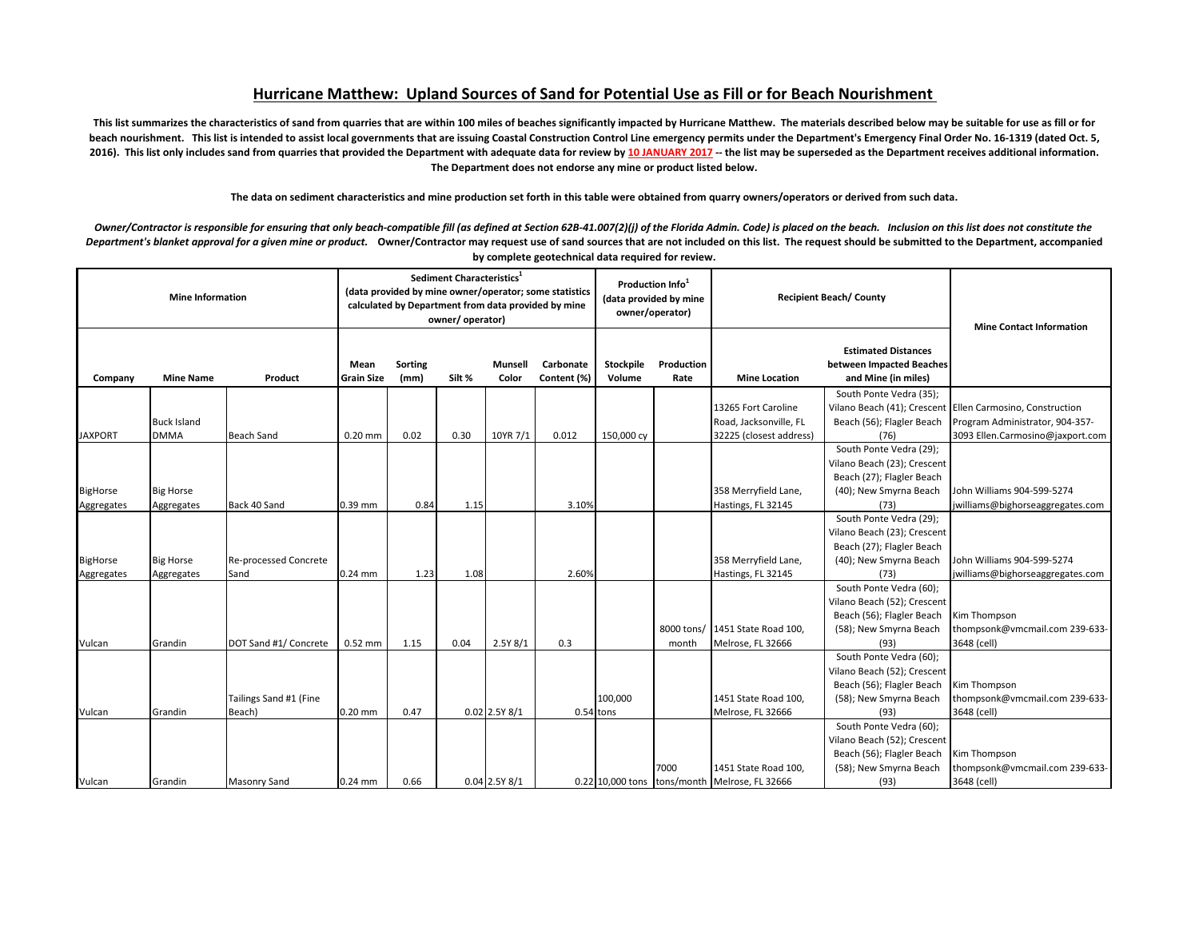## **Hurricane Matthew: Upland Sources of Sand for Potential Use as Fill or for Beach Nourishment**

This list summarizes the characteristics of sand from quarries that are within 100 miles of beaches significantly impacted by Hurricane Matthew. The materials described below may be suitable for use as fill or for beach nourishment. This list is intended to assist local governments that are issuing Coastal Construction Control Line emergency permits under the Department's Emergency Final Order No. 16-1319 (dated Oct. 5, **2016). This list only includes sand from quarries that provided the Department with adequate data for review by 10 JANUARY 2017 -- the list may be superseded as the Department receives additional information. The Department does not endorse any mine or product listed below.** 

**The data on sediment characteristics and mine production set forth in this table were obtained from quarry owners/operators or derived from such data.**

*Owner/Contractor is responsible for ensuring that only beach-compatible fill (as defined at Section 62B-41.007(2)(j) of the Florida Admin. Code) is placed on the beach. Inclusion on this list does not constitute the Department's blanket approval for a given mine or product.* **Owner/Contractor may request use of sand sources that are not included on this list. The request should be submitted to the Department, accompanied by complete geotechnical data required for review.** 

| <b>Mine Information</b> |                                |                                      | Sediment Characteristics <sup>1</sup><br>(data provided by mine owner/operator; some statistics<br>calculated by Department from data provided by mine<br>owner/operator) |                        |        |                   |                          | Production Info <sup>1</sup><br>(data provided by mine<br>owner/operator) |                     | <b>Recipient Beach/County</b>                 |                                                                                                                       | <b>Mine Contact Information</b>                                |
|-------------------------|--------------------------------|--------------------------------------|---------------------------------------------------------------------------------------------------------------------------------------------------------------------------|------------------------|--------|-------------------|--------------------------|---------------------------------------------------------------------------|---------------------|-----------------------------------------------|-----------------------------------------------------------------------------------------------------------------------|----------------------------------------------------------------|
| Company                 | <b>Mine Name</b>               | Product                              | Mean<br><b>Grain Size</b>                                                                                                                                                 | <b>Sorting</b><br>(mm) | Silt % | Munsell<br>Color  | Carbonate<br>Content (%) | Stockpile<br>Volume                                                       | Production<br>Rate  | <b>Mine Location</b>                          | <b>Estimated Distances</b><br>between Impacted Beaches<br>and Mine (in miles)                                         |                                                                |
|                         |                                |                                      |                                                                                                                                                                           |                        |        |                   |                          |                                                                           |                     |                                               | South Ponte Vedra (35);                                                                                               |                                                                |
|                         |                                |                                      |                                                                                                                                                                           |                        |        |                   |                          |                                                                           |                     | 13265 Fort Caroline                           | Vilano Beach (41); Crescent                                                                                           | Ellen Carmosino, Construction                                  |
|                         | <b>Buck Island</b>             |                                      |                                                                                                                                                                           |                        |        |                   |                          |                                                                           |                     | Road, Jacksonville, FL                        | Beach (56); Flagler Beach                                                                                             | Program Administrator, 904-357-                                |
| <b>JAXPORT</b>          | <b>DMMA</b>                    | <b>Beach Sand</b>                    | $0.20$ mm                                                                                                                                                                 | 0.02                   | 0.30   | 10YR 7/1          | 0.012                    | 150,000 cy                                                                |                     | 32225 (closest address)                       | (76)                                                                                                                  | 3093 Ellen.Carmosino@jaxport.com                               |
| BigHorse                | <b>Big Horse</b>               |                                      |                                                                                                                                                                           |                        |        |                   |                          |                                                                           |                     | 358 Merryfield Lane,                          | South Ponte Vedra (29);<br>Vilano Beach (23); Crescent<br>Beach (27); Flagler Beach<br>(40); New Smyrna Beach         | John Williams 904-599-5274                                     |
| Aggregates              | Aggregates                     | Back 40 Sand                         | 0.39 mm                                                                                                                                                                   | 0.84                   | 1.15   |                   | 3.10%                    |                                                                           |                     | Hastings, FL 32145                            | (73)                                                                                                                  | jwilliams@bighorseaggregates.com                               |
| BigHorse<br>Aggregates  | <b>Big Horse</b><br>Aggregates | <b>Re-processed Concrete</b><br>Sand | $0.24$ mm                                                                                                                                                                 | 1.23                   | 1.08   |                   | 2.60%                    |                                                                           |                     | 358 Merryfield Lane,<br>Hastings, FL 32145    | South Ponte Vedra (29);<br>Vilano Beach (23); Crescent<br>Beach (27); Flagler Beach<br>(40); New Smyrna Beach<br>(73) | John Williams 904-599-5274<br>jwilliams@bighorseaggregates.com |
|                         |                                |                                      |                                                                                                                                                                           |                        |        |                   |                          |                                                                           |                     |                                               | South Ponte Vedra (60);                                                                                               |                                                                |
| Vulcan                  | Grandin                        | DOT Sand #1/ Concrete                | 0.52 mm                                                                                                                                                                   | 1.15                   | 0.04   | 2.5Y 8/1          | 0.3                      |                                                                           | 8000 tons/<br>month | 1451 State Road 100,<br>Melrose, FL 32666     | Vilano Beach (52); Crescent<br>Beach (56); Flagler Beach<br>(58); New Smyrna Beach<br>(93)                            | Kim Thompson<br>thompsonk@vmcmail.com 239-633-<br>3648 (cell)  |
|                         |                                |                                      |                                                                                                                                                                           |                        |        |                   |                          |                                                                           |                     |                                               | South Ponte Vedra (60);                                                                                               |                                                                |
| Vulcan                  | Grandin                        | Tailings Sand #1 (Fine<br>Beach)     | 0.20 mm                                                                                                                                                                   | 0.47                   |        | $0.02$ 2.5Y $8/1$ |                          | 100.000<br>$0.54$ tons                                                    |                     | 1451 State Road 100,<br>Melrose, FL 32666     | Vilano Beach (52); Crescent<br>Beach (56); Flagler Beach<br>(58); New Smyrna Beach<br>(93)                            | Kim Thompson<br>thompsonk@vmcmail.com 239-633-<br>3648 (cell)  |
|                         |                                |                                      |                                                                                                                                                                           |                        |        |                   |                          |                                                                           |                     |                                               | South Ponte Vedra (60);                                                                                               |                                                                |
|                         |                                |                                      |                                                                                                                                                                           |                        |        |                   |                          |                                                                           |                     |                                               | Vilano Beach (52); Crescent                                                                                           |                                                                |
|                         |                                |                                      |                                                                                                                                                                           |                        |        |                   |                          |                                                                           | 7000                | 1451 State Road 100,                          | Beach (56); Flagler Beach<br>(58); New Smyrna Beach                                                                   | Kim Thompson<br>thompsonk@vmcmail.com 239-633-                 |
| Vulcan                  | Grandin                        | <b>Masonry Sand</b>                  | $0.24$ mm                                                                                                                                                                 | 0.66                   |        | $0.04$ 2.5Y $8/1$ |                          |                                                                           |                     | 0.22 10,000 tons tons/month Melrose, FL 32666 | (93)                                                                                                                  | 3648 (cell)                                                    |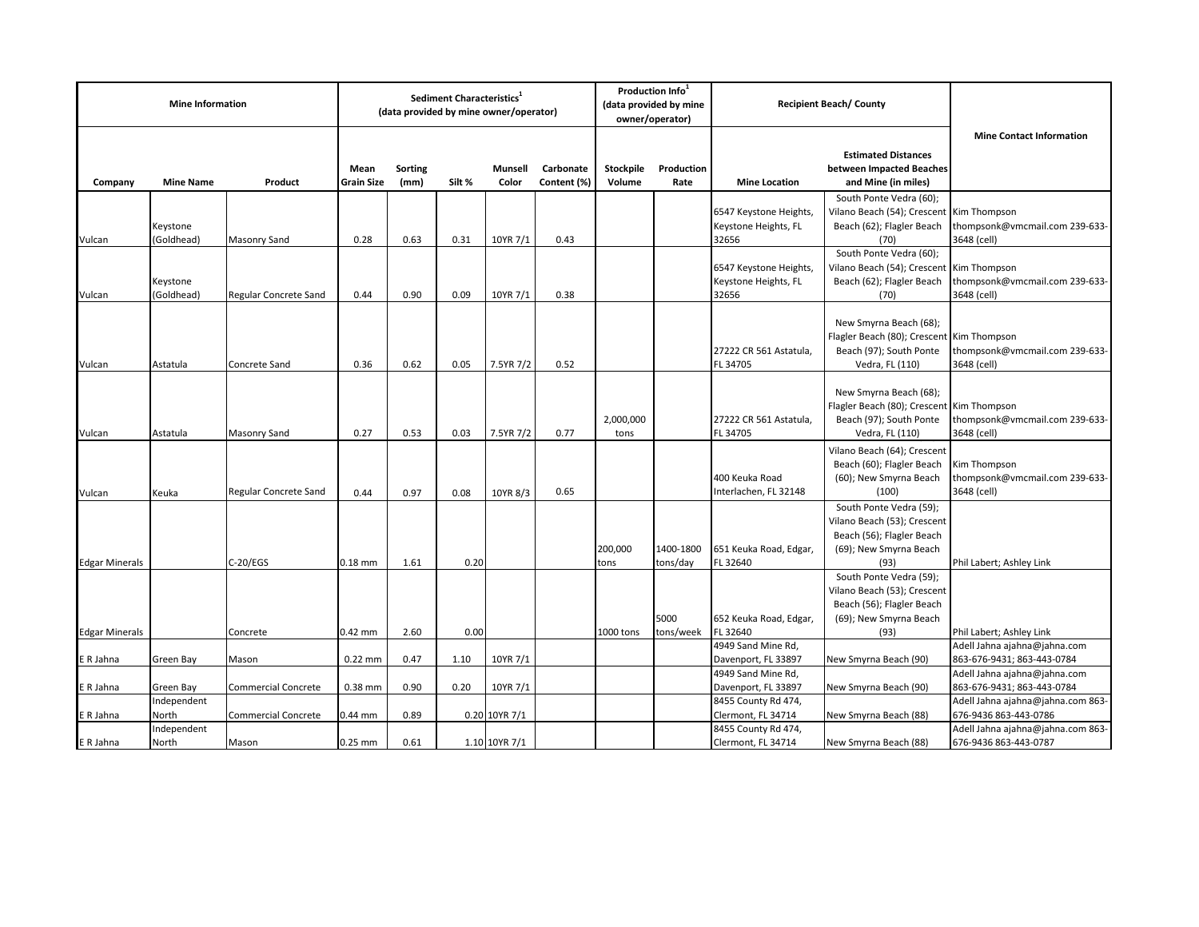| <b>Mine Information</b> |                          |                            | Sediment Characteristics <sup>1</sup><br>(data provided by mine owner/operator) |                        |        |                  |                          | Production Info <sup>1</sup><br>(data provided by mine<br>owner/operator) |                       | <b>Recipient Beach/County</b>                           |                                                                                                                       |                                                                 |
|-------------------------|--------------------------|----------------------------|---------------------------------------------------------------------------------|------------------------|--------|------------------|--------------------------|---------------------------------------------------------------------------|-----------------------|---------------------------------------------------------|-----------------------------------------------------------------------------------------------------------------------|-----------------------------------------------------------------|
| Company                 | <b>Mine Name</b>         | Product                    | Mean<br><b>Grain Size</b>                                                       | <b>Sorting</b><br>(mm) | Silt % | Munsell<br>Color | Carbonate<br>Content (%) | Stockpile<br>Volume                                                       | Production<br>Rate    | <b>Mine Location</b>                                    | <b>Estimated Distances</b><br>between Impacted Beaches<br>and Mine (in miles)                                         | <b>Mine Contact Information</b>                                 |
| Vulcan                  | Keystone<br>(Goldhead)   | Masonry Sand               | 0.28                                                                            | 0.63                   | 0.31   | 10YR 7/1         | 0.43                     |                                                                           |                       | 6547 Keystone Heights,<br>Keystone Heights, FL<br>32656 | South Ponte Vedra (60);<br>Vilano Beach (54); Crescent Kim Thompson<br>Beach (62); Flagler Beach<br>(70)              | thompsonk@vmcmail.com 239-633-<br>3648 (cell)                   |
| Vulcan                  | Keystone<br>(Goldhead)   | Regular Concrete Sand      | 0.44                                                                            | 0.90                   | 0.09   | 10YR 7/1         | 0.38                     |                                                                           |                       | 6547 Keystone Heights<br>Keystone Heights, FL<br>32656  | South Ponte Vedra (60);<br>Vilano Beach (54); Crescent Kim Thompson<br>Beach (62); Flagler Beach<br>(70)              | thompsonk@vmcmail.com 239-633-<br>3648 (cell)                   |
| Vulcan                  | Astatula                 | Concrete Sand              | 0.36                                                                            | 0.62                   | 0.05   | 7.5YR 7/2        | 0.52                     |                                                                           |                       | 27222 CR 561 Astatula,<br>FL 34705                      | New Smyrna Beach (68);<br>Flagler Beach (80); Crescent Kim Thompson<br>Beach (97); South Ponte<br>Vedra, FL (110)     | thompsonk@vmcmail.com 239-633-<br>3648 (cell)                   |
| Vulcan                  | Astatula                 | <b>Masonry Sand</b>        | 0.27                                                                            | 0.53                   | 0.03   | 7.5YR 7/2        | 0.77                     | 2,000,000<br>tons                                                         |                       | 27222 CR 561 Astatula,<br>FL 34705                      | New Smyrna Beach (68);<br>Flagler Beach (80); Crescent Kim Thompson<br>Beach (97); South Ponte<br>Vedra, FL (110)     | thompsonk@vmcmail.com 239-633-<br>3648 (cell)                   |
| Vulcan                  | Keuka                    | Regular Concrete Sand      | 0.44                                                                            | 0.97                   | 0.08   | 10YR 8/3         | 0.65                     |                                                                           |                       | 400 Keuka Road<br>Interlachen, FL 32148                 | Vilano Beach (64); Crescent<br>Beach (60); Flagler Beach<br>(60); New Smyrna Beach<br>(100)                           | Kim Thompson<br>thompsonk@vmcmail.com 239-633-<br>3648 (cell)   |
| <b>Edgar Minerals</b>   |                          | $C-20/EGS$                 | $0.18$ mm                                                                       | 1.61                   | 0.20   |                  |                          | 200,000<br>tons                                                           | 1400-1800<br>tons/day | 651 Keuka Road, Edgar,<br>FL 32640                      | South Ponte Vedra (59);<br>Vilano Beach (53); Crescent<br>Beach (56); Flagler Beach<br>(69); New Smyrna Beach<br>(93) | Phil Labert; Ashley Link                                        |
|                         |                          |                            |                                                                                 |                        | 0.00   |                  |                          |                                                                           | 5000                  | 652 Keuka Road, Edgar,<br>FL 32640                      | South Ponte Vedra (59);<br>Vilano Beach (53); Crescent<br>Beach (56); Flagler Beach<br>(69); New Smyrna Beach         |                                                                 |
| <b>Edgar Minerals</b>   |                          | Concrete                   | 0.42 mm                                                                         | 2.60                   |        |                  |                          | 1000 tons                                                                 | tons/week             | 4949 Sand Mine Rd,                                      | (93)                                                                                                                  | Phil Labert; Ashley Link<br>Adell Jahna ajahna@jahna.com        |
| E R Jahna               | Green Bay                | Mason                      | $0.22$ mm                                                                       | 0.47                   | 1.10   | 10YR 7/1         |                          |                                                                           |                       | Davenport, FL 33897                                     | New Smyrna Beach (90)                                                                                                 | 863-676-9431; 863-443-0784                                      |
|                         |                          |                            |                                                                                 |                        |        |                  |                          |                                                                           |                       | 4949 Sand Mine Rd,                                      |                                                                                                                       | Adell Jahna ajahna@jahna.com                                    |
| E R Jahna               | Green Bay<br>Independent | <b>Commercial Concrete</b> | 0.38 mm                                                                         | 0.90                   | 0.20   | 10YR 7/1         |                          |                                                                           |                       | Davenport, FL 33897<br>8455 County Rd 474,              | New Smyrna Beach (90)                                                                                                 | 863-676-9431; 863-443-0784<br>Adell Jahna ajahna@jahna.com 863- |
| E R Jahna               | North                    | Commercial Concrete        | 0.44 mm                                                                         | 0.89                   |        | 0.20 10YR 7/1    |                          |                                                                           |                       | Clermont, FL 34714                                      | New Smyrna Beach (88)                                                                                                 | 676-9436 863-443-0786                                           |
|                         | Independent              |                            |                                                                                 |                        |        |                  |                          |                                                                           |                       | 8455 County Rd 474,                                     |                                                                                                                       | Adell Jahna ajahna@jahna.com 863-                               |
| E R Jahna               | North                    | Mason                      | $0.25$ mm                                                                       | 0.61                   |        | 1.10 10YR 7/1    |                          |                                                                           |                       | Clermont, FL 34714                                      | New Smyrna Beach (88)                                                                                                 | 676-9436 863-443-0787                                           |